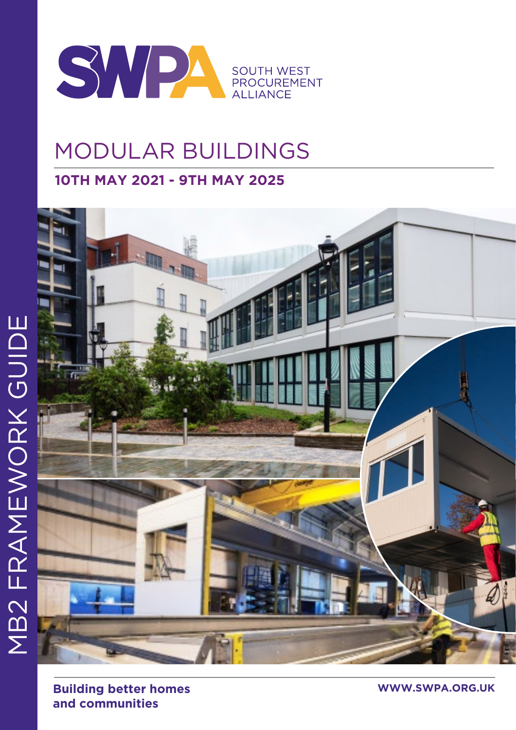

# MODULAR BUILDINGS

# **10TH MAY 2021 - 9TH MAY 2025**



**Building better homes WWW.SWPA.ORG.UK and communities**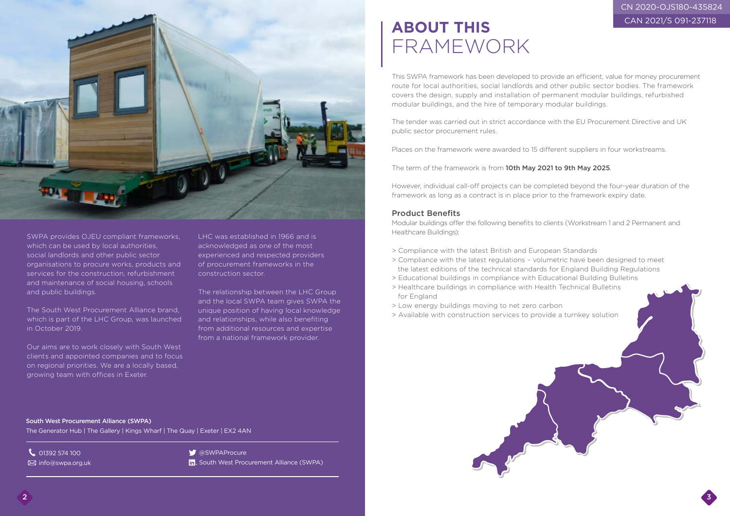# **ABOUT THIS** FRAMEWORK

This SWPA framework has been developed to provide an efficient, value for money procurement route for local authorities, social landlords and other public sector bodies. The framework covers the design, supply and installation of permanent modular buildings, refurbished modular buildings, and the hire of temporary modular buildings.

The tender was carried out in strict accordance with the EU Procurement Directive and UK public sector procurement rules.

Places on the framework were awarded to 15 different suppliers in four workstreams.

The term of the framework is from 10th May 2021 to 9th May 2025.

However, individual call-off projects can be completed beyond the four-year duration of the framework as long as a contract is in place prior to the framework expiry date.

### Product Benefits

Modular buildings offer the following benefits to clients (Workstream 1 and 2 Permanent and Healthcare Buildings):

- > Compliance with the latest British and European Standards
- > Compliance with the latest regulations volumetric have been designed to meet the latest editions of the technical standards for England Building Regulations
- > Educational buildings in compliance with Educational Building Bulletins
- > Healthcare buildings in compliance with Health Technical Bulletins for England
- > Low energy buildings moving to net zero carbon
- > Available with construction services to provide a turnkey solution



SWPA provides OJEU compliant frameworks, which can be used by local authorities, social landlords and other public sector organisations to procure works, products and services for the construction, refurbishment and maintenance of social housing, schools and public buildings.

The South West Procurement Alliance brand, which is part of the LHC Group, was launched in October 2019.

Our aims are to work closely with South West clients and appointed companies and to focus on regional priorities. We are a locally based, growing team with offices in Exeter.

LHC was established in 1966 and is acknowledged as one of the most experienced and respected providers of procurement frameworks in the construction sector.

The relationship between the LHC Group and the local SWPA team gives SWPA the unique position of having local knowledge and relationships, while also benefiting from additional resources and expertise from a national framework provider.

South West Procurement Alliance (SWPA) The Generator Hub | The Gallery | Kings Wharf | The Quay | Exeter | EX2 4AN

**C** 01392 574 100

**info@swpa.org.uk** 

**S** @SWPAProcure

In. South West Procurement Alliance (SWPA)



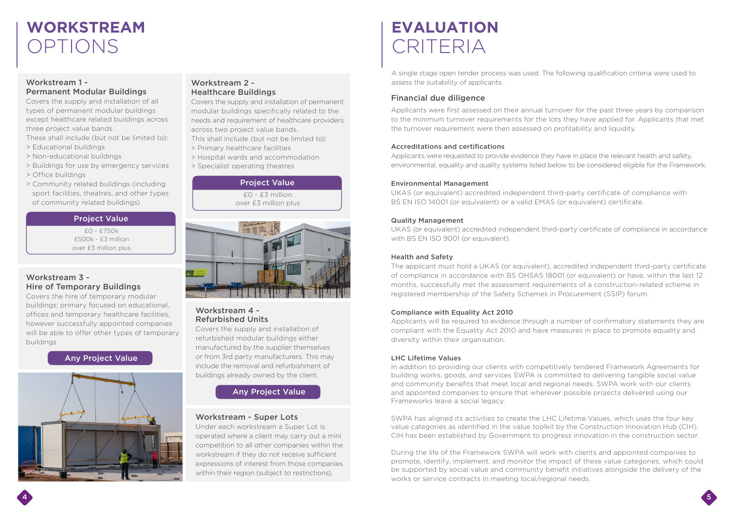# **WORKSTREAM** OPTIONS

### Workstream 1 - Permanent Modular Buildings

Covers the supply and installation of all types of permanent modular buildings except healthcare related buildings across three project value bands.

- These shall include (but not be limited to):
- > Educational buildings
- > Non-educational buildings
- > Buildings for use by emergency services
- > Office buildings
- > Community related buildings (including sport facilities, theatres, and other types of community related buildings)

### Workstream 2 - Healthcare Buildings

Covers the supply and installation of permanent modular buildings specifically related to the needs and requirement of healthcare providers across two project value bands.

This shall include (but not be limited to):

- > Primary healthcare facilities
- > Hospital wards and accommodation
- > Specialist operating theatres

### Workstream 3 - Hire of Temporary Buildings

 $f0 - f3$  million over £3 million plus



Covers the hire of temporary modular buildings; primary focused on educational, offices and temporary healthcare facilities, however successfully appointed companies will be able to offer other types of temporary buildings.

### Workstream 4 - Refurbished Units

Covers the supply and installation of refurbished modular buildings either manufactured by the supplier themselves or from 3rd party manufacturers. This may include the removal and refurbishment of buildings already owned by the client.

UKAS (or equivalent) accredited independent third-party certificate of compliance in accordance with BS EN ISO 9001 (or equivalent).

### Workstream - Super Lots

Under each workstream a Super Lot is operated where a client may carry out a mini competition to all other companies within the workstream if they do not receive sufficient expressions of interest from those companies within their region (subject to restrictions).

### Project Value

£0 - £750k £500k - £3 million over £3 million plus

#### Project Value

## Any Project Value



## Any Project Value

# **EVALUATION** CRITERIA

## Financial due diligence

Applicants were first assessed on their annual turnover for the past three years by comparison to the minimum turnover requirements for the lots they have applied for. Applicants that met the turnover requirement were then assessed on profitability and liquidity.

#### Accreditations and certifications

Applicants were requested to provide evidence they have in place the relevant health and safety, environmental, equality and quality systems listed below to be considered eligible for the Framework.

#### Environmental Management

UKAS (or equivalent) accredited independent third-party certificate of compliance with BS EN ISO 14001 (or equivalent) or a valid EMAS (or equivalent) certificate.

#### Quality Management

#### Health and Safety

The applicant must hold a UKAS (or equivalent), accredited independent third-party certificate of compliance in accordance with BS OHSAS 18001 (or equivalent) or have, within the last 12 months, successfully met the assessment requirements of a construction-related scheme in registered membership of the Safety Schemes in Procurement (SSIP) forum.

#### Compliance with Equality Act 2010

Applicants will be required to evidence through a number of confirmatory statements they are compliant with the Equality Act 2010 and have measures in place to promote equality and diversity within their organisation.

#### LHC Lifetime Values

In addition to providing our clients with competitively tendered Framework Agreements for building works, goods, and services SWPA is committed to delivering tangible social value and community benefits that meet local and regional needs. SWPA work with our clients and appointed companies to ensure that wherever possible projects delivered using our Frameworks leave a social legacy.

SWPA has aligned its activities to create the LHC Lifetime Values, which uses the four key value categories as identified in the value toolkit by the Construction Innovation Hub (CIH). CIH has been established by Government to progress innovation in the construction sector.

During the life of the Framework SWPA will work with clients and appointed companies to promote, identify, implement, and monitor the impact of these value categories, which could be supported by social value and community benefit initiatives alongside the delivery of the works or service contracts in meeting local/regional needs.

A single stage open tender process was used. The following qualification criteria were used to assess the suitability of applicants.

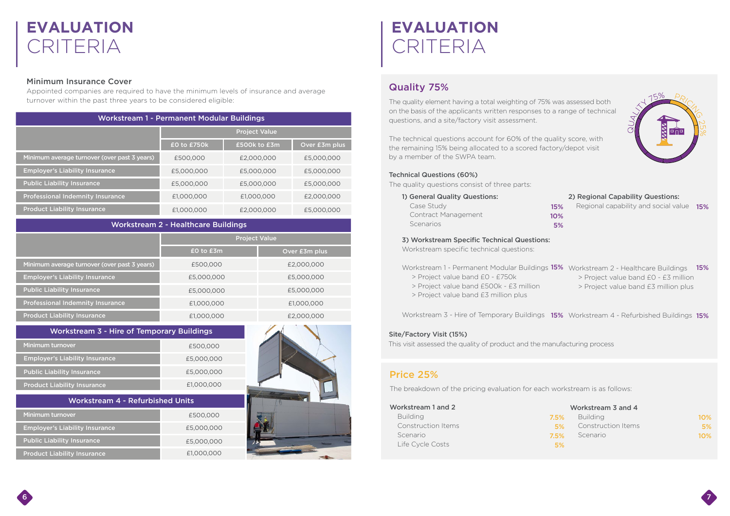# **EVALUATION** CRITERIA

### Minimum Insurance Cover

Appointed companies are required to have the minimum levels of insurance and average turnover within the past three years to be considered eligible:

| <b>Workstream 1 - Permanent Modular Buildings</b> |                      |              |               |
|---------------------------------------------------|----------------------|--------------|---------------|
|                                                   | <b>Project Value</b> |              |               |
|                                                   | £0 to £750k          | £500k to £3m | Over £3m plus |
| Minimum average turnover (over past 3 years)      | £500,000             | £2,000,000   | £5,000,000    |
| <b>Employer's Liability Insurance</b>             | £5,000,000           | £5,000,000   | £5,000,000    |
| <b>Public Liability Insurance</b>                 | £5,000,000           | £5,000,000   | £5,000,000    |
| <b>Professional Indemnity Insurance</b>           | £1,000,000           | £1,000,000   | £2,000,000    |
| <b>Product Liability Insurance</b>                | £1,000,000           | £2,000,000   | £5,000,000    |

| <b>Workstream 2 - Healthcare Buildings</b> |  |  |  |
|--------------------------------------------|--|--|--|
|--------------------------------------------|--|--|--|

|                                              | <b>Project Value</b> |               |
|----------------------------------------------|----------------------|---------------|
|                                              | $E0$ to $E3m$        | Over £3m plus |
| Minimum average turnover (over past 3 years) | £500,000             | £2,000,000    |
| <b>Employer's Liability Insurance</b>        | £5,000,000           | £5,000,000    |
| <b>Public Liability Insurance</b>            | £5,000,000           | £5,000,000    |
| <b>Professional Indemnity Insurance</b>      | £1,000,000           | £1,000,000    |
| <b>Product Liability Insurance</b>           | £1,000,000           | £2,000,000    |

| <b>Workstream 3 - Hire of Temporary Buildings</b> |            |
|---------------------------------------------------|------------|
| Minimum turnover                                  | £500,000   |
| <b>Employer's Liability Insurance</b>             | £5,000,000 |
| <b>Public Liability Insurance</b>                 | £5,000,000 |
| <b>Product Liability Insurance</b>                | £1,000,000 |
|                                                   |            |
| <b>Workstream 4 - Refurbished Units</b>           |            |
| Minimum turnover                                  | £500,000   |
| <b>Employer's Liability Insurance</b>             | £5,000,000 |
| <b>Public Liability Insurance</b>                 | £5,000,000 |

# Quality 75%

| The quality element having a total weighting of 75% was assessed both<br>on the basis of the applicants written responses to a range of technical<br>questions, and a site/factory visit assessment.<br>The technical questions account for 60% of the quality score, with<br>the remaining 15% being allocated to a scored factory/depot visit<br>by a member of the SWPA team.                            | 175%                                                                                                                                                                           |    |
|-------------------------------------------------------------------------------------------------------------------------------------------------------------------------------------------------------------------------------------------------------------------------------------------------------------------------------------------------------------------------------------------------------------|--------------------------------------------------------------------------------------------------------------------------------------------------------------------------------|----|
| <b>Technical Questions (60%)</b><br>The quality questions consist of three parts:<br>1) General Quality Questions:<br>Case Study<br>Contract Management<br>Scenarios                                                                                                                                                                                                                                        | 2) Regional Capability Questions:<br>Regional capability and social value<br>15%<br>15%<br>10%<br>5%                                                                           |    |
| 3) Workstream Specific Technical Questions:<br>Workstream specific technical questions:<br>Workstream 1 - Permanent Modular Buildings 15% Workstream 2 - Healthcare Buildings<br>> Project value band £0 - £750k<br>> Project value band £500k - £3 million<br>> Project value band £3 million plus<br>Site/Factory Visit (15%)<br>This visit assessed the quality of product and the manufacturing process | 15%<br>> Project value band £0 - £3 million<br>> Project value band £3 million plus<br>Workstream 3 - Hire of Temporary Buildings 15% Workstream 4 - Refurbished Buildings 15% |    |
| Price 25%<br>The breakdown of the pricing evaluation for each workstream is as follows:<br>Workstream 1 and 2<br><b>Building</b><br><b>Construction Items</b><br>Scenario<br>Life Cycle Costs                                                                                                                                                                                                               | Workstream 3 and 4<br><b>Building</b><br>7.5%<br>$10\%$<br><b>Construction Items</b><br>5%<br>Scenario<br>7.5%<br>10%<br>5%                                                    | 5% |

- 
- 
- 

#### Workstream 1 and 2

## Price 25%

# **EVALUATION** CRITERIA

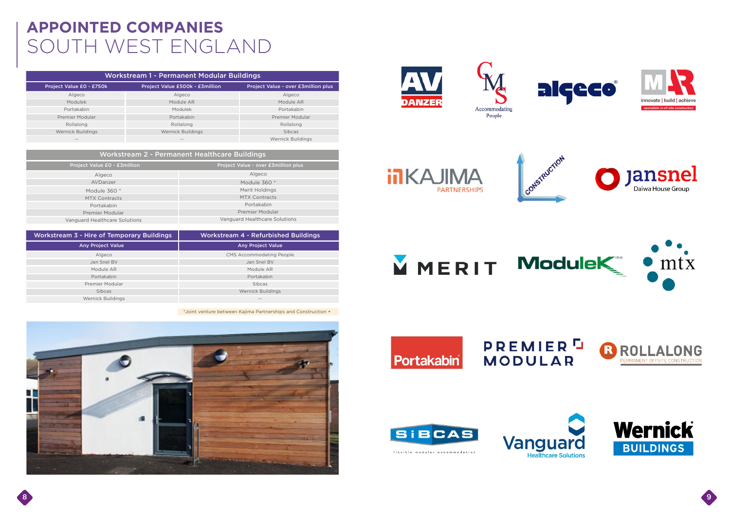# **APPOINTED COMPANIES** SOUTH WEST ENGLAND

#### Algeco Modulek Portakabin Premier Modular Rollalong Wernick Buildings -- Algeco Module AR Modulek Portakabin Rollalong Wernick Buildings -- Algeco Module AR Portakabin Premier Modular Rollalong Sibcas Wernick Buildings Project Value £0 - £750k Project Value £500k - £3million Project Value - over £3million plus Workstream 1 - Permanent Modular Buildings



**inKAJIMA PARTNERSHIPS** 









| Workstream 2 - Permanent Healthcare Buildings |                                     |  |
|-----------------------------------------------|-------------------------------------|--|
| Project Value £0 - £3million                  | Project Value - over £3million plus |  |
| Algeco                                        | Algeco                              |  |
| AVDanzer                                      | Module 360 *                        |  |
| Module 360 *                                  | Merit Holdings                      |  |
| <b>MTX Contracts</b>                          | <b>MTX Contracts</b>                |  |
| Portakabin                                    | Portakabin                          |  |
| Premier Modular                               | Premier Modular                     |  |
| Vanguard Healthcare Solutions                 | Vanguard Healthcare Solutions       |  |

| <b>Workstream 3 - Hire of Temporary Buildings</b> | <b>Workstream 4 - Refurbished Buildings</b> |
|---------------------------------------------------|---------------------------------------------|
| <b>Any Project Value</b>                          | <b>Any Project Value</b>                    |
| Algeco                                            | <b>CMS Accommodating People</b>             |
| Jan Snel BV                                       | Jan Snel BV                                 |
| Module AR                                         | Module AR                                   |
| Portakabin                                        | Portakabin                                  |
| Premier Modular                                   | <b>Sibcas</b>                               |
| <b>Sibcas</b>                                     | Wernick Buildings                           |
| Wernick Buildings                                 | $- -$                                       |

\*Joint venture between Kajima Partnerships and Construction +



















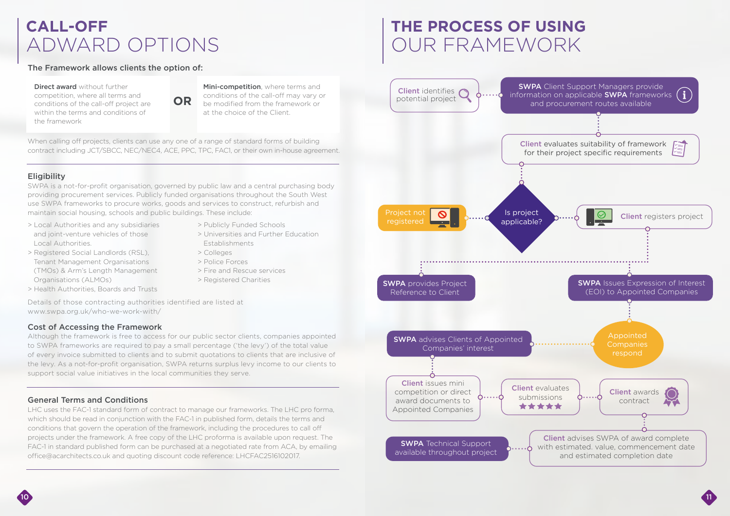# **CALL-OFF** ADWARD OPTIONS

## Cost of Accessing the Framework

Although the framework is free to access for our public sector clients, companies appointed to SWPA frameworks are required to pay a small percentage ('the levy') of the total value of every invoice submitted to clients and to submit quotations to clients that are inclusive of the levy. As a not-for-profit organisation, SWPA returns surplus levy income to our clients to support social value initiatives in the local communities they serve.

## General Terms and Conditions

LHC uses the FAC-1 standard form of contract to manage our frameworks. The LHC pro forma, which should be read in conjunction with the FAC-1 in published form, details the terms and conditions that govern the operation of the framework, including the procedures to call off projects under the framework. A free copy of the LHC proforma is available upon request. The FAC-1 in standard published form can be purchased at a negotiated rate from ACA, by emailing office@acarchitects.co.uk and quoting discount code reference: LHCFAC2516102017.

Direct award without further competition, where all terms and conditions of the call-off project are within the terms and conditions of the framework

Mini-competition, where terms and conditions of the call-off may vary or be modified from the framework or at the choice of the Client.

SWPA is a not-for-profit organisation, governed by public law and a central purchasing body providing procurement services. Publicly funded organisations throughout the South West use SWPA frameworks to procure works, goods and services to construct, refurbish and maintain social housing, schools and public buildings. These include:

- > Local Authorities and any subsidiaries and joint-venture vehicles of those Local Authorities.
- > Registered Social Landlords (RSL), Tenant Management Organisations (TMOs) & Arm's Length Management Organisations (ALMOs)
- > Health Authorities, Boards and Trusts

> Publicly Funded Schools

> Universities and Further Education

> Colleges > Police Forces

> Fire and Rescue services > Registered Charities

**Establishments** 

When calling off projects, clients can use any one of a range of standard forms of building contract including JCT/SBCC, NEC/NEC4, ACE, PPC, TPC, FAC1, or their own in-house agreement.

## **Eligibility**



### The Framework allows clients the option of:

Details of those contracting authorities identified are listed at www.swpa.org.uk/who-we-work-with/

# **THE PROCESS OF USING** OUR FRAMEWORK